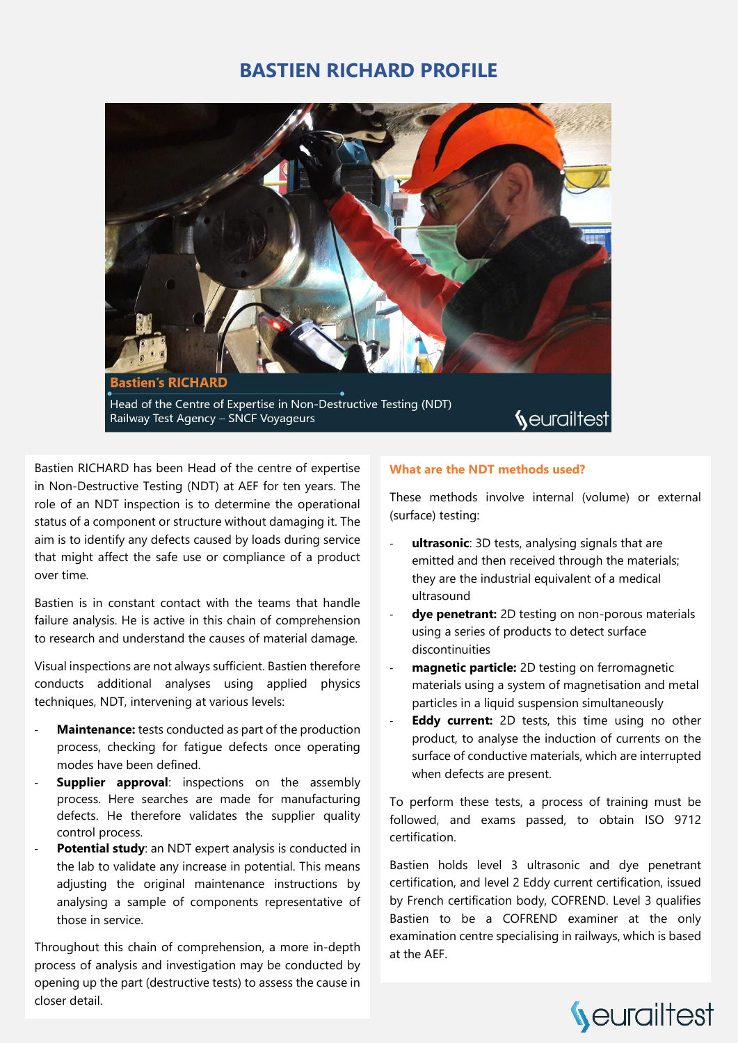### **BASTIEN RICHARD PROFILE**



Bastien RICHARD has been Head of the centre of expertise in Non-Destructive Testing (NDT) at AEF for ten years. The role of an NDT inspection is to determine the operational status of a component or structure without damaging it. The aim is to identify any defects caused by loads during service that might affect the safe use or compliance of a product over time.

Bastien is in constant contact with the teams that handle failure analysis. He is active in this chain of comprehension to research and understand the causes of material damage.

Visual inspections are not always sufficient. Bastien therefore conducts additional analyses using applied physics techniques, NDT, intervening at various levels:

- Maintenance: tests conducted as part of the production process, checking for fatigue defects once operating modes have been defined.
- **Supplier approval:** inspections on the assembly process. Here searches are made for manufacturing defects. He therefore validates the supplier quality control process.
- Potential study: an NDT expert analysis is conducted in the lab to validate any increase in potential. This means adjusting the original maintenance instructions by analysing a sample of components representative of those in service.

Throughout this chain of comprehension, a more in-depth process of analysis and investigation may be conducted by opening up the part (destructive tests) to assess the cause in closer detail.

#### **What are the NDT methods used?**

These methods involve internal (volume) or external (surface) testing:

- ultrasonic: 3D tests, analysing signals that are emitted and then received through the materials; they are the industrial equivalent of a medical ultrasound
- dye penetrant: 2D testing on non-porous materials using a series of products to detect surface discontinuities
- magnetic particle: 2D testing on ferromagnetic materials using a system of magnetisation and metal particles in a liquid suspension simultaneously
- **Eddy current:** 2D tests, this time using no other product, to analyse the induction of currents on the surface of conductive materials, which are interrupted when defects are present.

To perform these tests, a process of training must be followed, and exams passed, to obtain ISO 9712 certification.

Bastien holds level 3 ultrasonic and dye penetrant certification, and level 2 Eddy current certification, issued by French certification body, COFREND. Level 3 qualifies Bastien to be a COFREND examiner at the only examination centre specialising in railways, which is based at the AEF.